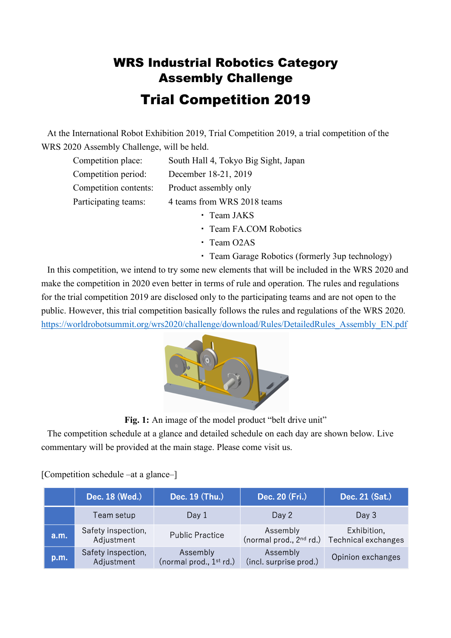## WRS Industrial Robotics Category Assembly Challenge Trial Competition 2019

At the International Robot Exhibition 2019, Trial Competition 2019, a trial competition of the WRS 2020 Assembly Challenge, will be held.

| Competition place:                                  | South Hall 4, Tokyo Big Sight, Japan |
|-----------------------------------------------------|--------------------------------------|
| Competition period:                                 | December 18-21, 2019                 |
| Competition contents:                               | Product assembly only                |
| 4 teams from WRS 2018 teams<br>Participating teams: |                                      |
|                                                     | • Team JAKS                          |

- ・ Team FA.COM Robotics
- ・ Team O2AS
- ・ Team Garage Robotics (formerly 3up technology)

In this competition, we intend to try some new elements that will be included in the WRS 2020 and make the competition in 2020 even better in terms of rule and operation. The rules and regulations for the trial competition 2019 are disclosed only to the participating teams and are not open to the public. However, this trial competition basically follows the rules and regulations of the WRS 2020. https://worldrobotsummit.org/wrs2020/challenge/download/Rules/DetailedRules\_Assembly\_EN.pdf



Fig. 1: An image of the model product "belt drive unit"

The competition schedule at a glance and detailed schedule on each day are shown below. Live commentary will be provided at the main stage. Please come visit us.

[Competition schedule –at a glance–]

|      | Dec. 18 (Wed.)                   | Dec. 19 (Thu.)                        | Dec. 20 (Fri.)                        | Dec. 21 (Sat.)                     |
|------|----------------------------------|---------------------------------------|---------------------------------------|------------------------------------|
|      | Team setup                       | Day 1                                 | Day 2                                 | Day 3                              |
| a.m. | Safety inspection,<br>Adjustment | <b>Public Practice</b>                | Assembly<br>(normal prod., $2nd$ rd.) | Exhibition,<br>Technical exchanges |
| p.m. | Safety inspection,<br>Adjustment | Assembly<br>(normal prod., $1st$ rd.) | Assembly<br>(incl. surprise prod.)    | Opinion exchanges                  |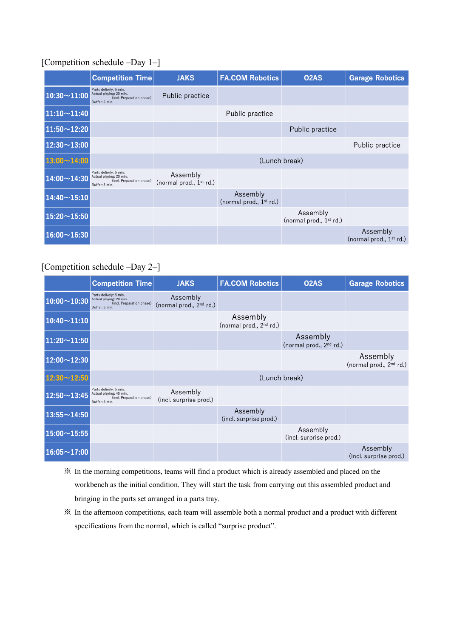## [Competition schedule –Day 1–]

|                    | <b>Competition Time</b>                                                                          | <b>JAKS</b>                           | <b>FA.COM Robotics</b>                          | O <sub>2</sub> A <sub>S</sub>                   | <b>Garage Robotics</b>                |
|--------------------|--------------------------------------------------------------------------------------------------|---------------------------------------|-------------------------------------------------|-------------------------------------------------|---------------------------------------|
| $10:30 - 11:00$    | Parts delively: 5 min.<br>Actual playing: 20 min.<br>(incl. Preparation phase)<br>Buffer: 5 min. | Public practice                       |                                                 |                                                 |                                       |
| $11:10 \sim 11:40$ |                                                                                                  |                                       | Public practice                                 |                                                 |                                       |
| $11:50 \sim 12:20$ |                                                                                                  |                                       |                                                 | Public practice                                 |                                       |
| $12:30 \sim 13:00$ |                                                                                                  |                                       |                                                 |                                                 | Public practice                       |
| $13:00 - 14:00$    |                                                                                                  | (Lunch break)                         |                                                 |                                                 |                                       |
| $14:00 - 14:30$    | Parts delively: 5 min.<br>Actual playing: 20 min.<br>(incl. Preparation phase)<br>Buffer: 5 min. | Assembly<br>(normal prod., $1st$ rd.) |                                                 |                                                 |                                       |
| $14:40 \sim 15:10$ |                                                                                                  |                                       | Assembly<br>(normal prod., 1 <sup>st</sup> rd.) |                                                 |                                       |
| $15:20 \sim 15:50$ |                                                                                                  |                                       |                                                 | Assembly<br>(normal prod., 1 <sup>st</sup> rd.) |                                       |
| $16:00 \sim 16:30$ |                                                                                                  |                                       |                                                 |                                                 | Assembly<br>(normal prod., $1st$ rd.) |

## [Competition schedule –Day 2–]

|                    | <b>Competition Time</b>                                                                          | <b>JAKS</b>                                     | <b>FA.COM Robotics</b>                          | O <sub>2</sub> A <sub>S</sub>                   | <b>Garage Robotics</b>                          |
|--------------------|--------------------------------------------------------------------------------------------------|-------------------------------------------------|-------------------------------------------------|-------------------------------------------------|-------------------------------------------------|
| $10:00 \sim 10:30$ | Parts delively: 5 min.<br>Actual playing: 20 min.<br>(incl. Preparation phase)<br>Buffer: 5 min. | Assembly<br>(normal prod., 2 <sup>nd</sup> rd.) |                                                 |                                                 |                                                 |
| $10:40 \sim 11:10$ |                                                                                                  |                                                 | Assembly<br>(normal prod., 2 <sup>nd</sup> rd.) |                                                 |                                                 |
| $11:20 \sim 11:50$ |                                                                                                  |                                                 |                                                 | Assembly<br>(normal prod., 2 <sup>nd</sup> rd.) |                                                 |
| $12:00 - 12:30$    |                                                                                                  |                                                 |                                                 |                                                 | Assembly<br>(normal prod., 2 <sup>nd</sup> rd.) |
| $12:30 - 12:50$    |                                                                                                  | (Lunch break)                                   |                                                 |                                                 |                                                 |
| $12:50 - 13:45$    | Parts delively: 5 min.<br>Actual playing: 45 min.<br>(incl. Preparation phase)<br>Buffer: 5 min. | Assembly<br>(incl. surprise prod.)              |                                                 |                                                 |                                                 |
| $13:55 \sim 14:50$ |                                                                                                  |                                                 | Assembly<br>(incl. surprise prod.)              |                                                 |                                                 |
| $15:00 \sim 15:55$ |                                                                                                  |                                                 |                                                 | Assembly<br>(incl. surprise prod.)              |                                                 |
| $16:05 \sim 17:00$ |                                                                                                  |                                                 |                                                 |                                                 | Assembly<br>(incl. surprise prod.)              |

- ※ In the morning competitions, teams will find a product which is already assembled and placed on the workbench as the initial condition. They will start the task from carrying out this assembled product and bringing in the parts set arranged in a parts tray.
- ※ In the afternoon competitions, each team will assemble both a normal product and a product with different specifications from the normal, which is called "surprise product".